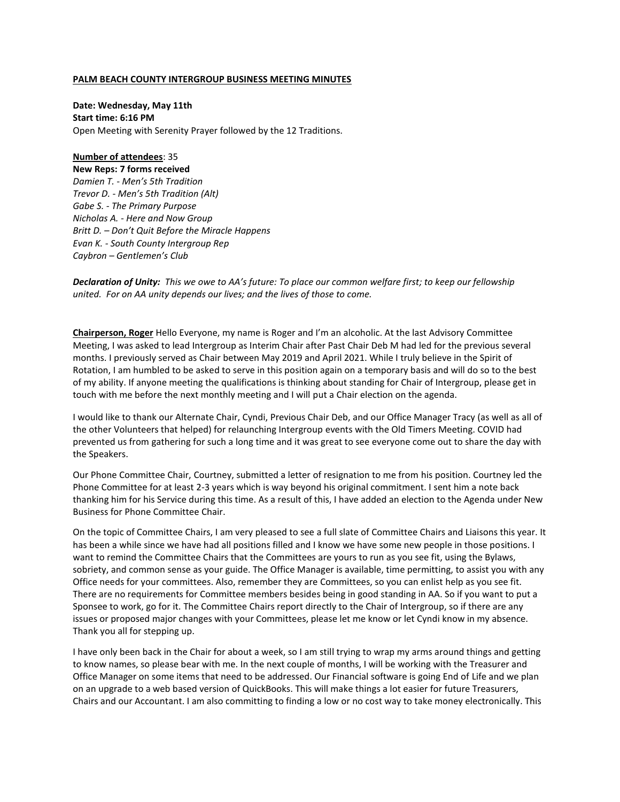#### **PALM BEACH COUNTY INTERGROUP BUSINESS MEETING MINUTES**

**Date: Wednesday, May 11th Start time: 6:16 PM** Open Meeting with Serenity Prayer followed by the 12 Traditions.

**Number of attendees**: 35 **New Reps: 7 forms received** *Damien T. - Men's 5th Tradition Trevor D. - Men's 5th Tradition (Alt) Gabe S. - The Primary Purpose Nicholas A. - Here and Now Group Britt D. – Don't Quit Before the Miracle Happens Evan K. - South County Intergroup Rep Caybron – Gentlemen's Club*

*Declaration of Unity: This we owe to AA's future: To place our common welfare first; to keep our fellowship united. For on AA unity depends our lives; and the lives of those to come.* 

**Chairperson, Roger** Hello Everyone, my name is Roger and I'm an alcoholic. At the last Advisory Committee Meeting, I was asked to lead Intergroup as Interim Chair after Past Chair Deb M had led for the previous several months. I previously served as Chair between May 2019 and April 2021. While I truly believe in the Spirit of Rotation, I am humbled to be asked to serve in this position again on a temporary basis and will do so to the best of my ability. If anyone meeting the qualifications is thinking about standing for Chair of Intergroup, please get in touch with me before the next monthly meeting and I will put a Chair election on the agenda.

I would like to thank our Alternate Chair, Cyndi, Previous Chair Deb, and our Office Manager Tracy (as well as all of the other Volunteers that helped) for relaunching Intergroup events with the Old Timers Meeting. COVID had prevented us from gathering for such a long time and it was great to see everyone come out to share the day with the Speakers.

Our Phone Committee Chair, Courtney, submitted a letter of resignation to me from his position. Courtney led the Phone Committee for at least 2-3 years which is way beyond his original commitment. I sent him a note back thanking him for his Service during this time. As a result of this, I have added an election to the Agenda under New Business for Phone Committee Chair.

On the topic of Committee Chairs, I am very pleased to see a full slate of Committee Chairs and Liaisons this year. It has been a while since we have had all positions filled and I know we have some new people in those positions. I want to remind the Committee Chairs that the Committees are yours to run as you see fit, using the Bylaws, sobriety, and common sense as your guide. The Office Manager is available, time permitting, to assist you with any Office needs for your committees. Also, remember they are Committees, so you can enlist help as you see fit. There are no requirements for Committee members besides being in good standing in AA. So if you want to put a Sponsee to work, go for it. The Committee Chairs report directly to the Chair of Intergroup, so if there are any issues or proposed major changes with your Committees, please let me know or let Cyndi know in my absence. Thank you all for stepping up.

I have only been back in the Chair for about a week, so I am still trying to wrap my arms around things and getting to know names, so please bear with me. In the next couple of months, I will be working with the Treasurer and Office Manager on some items that need to be addressed. Our Financial software is going End of Life and we plan on an upgrade to a web based version of QuickBooks. This will make things a lot easier for future Treasurers, Chairs and our Accountant. I am also committing to finding a low or no cost way to take money electronically. This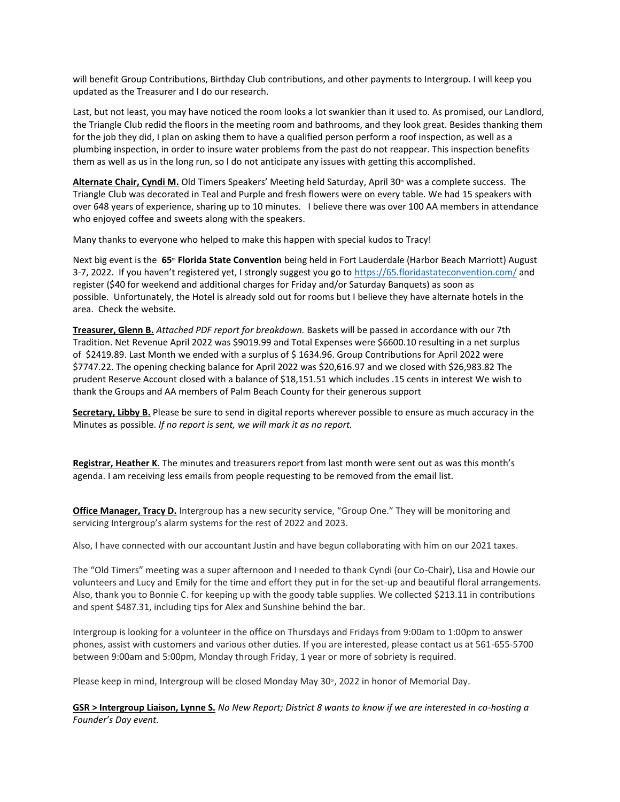will benefit Group Contributions, Birthday Club contributions, and other payments to Intergroup. I will keep you updated as the Treasurer and I do our research.

Last, but not least, you may have noticed the room looks a lot swankier than it used to. As promised, our Landlord, the Triangle Club redid the floors in the meeting room and bathrooms, and they look great. Besides thanking them for the job they did, I plan on asking them to have a qualified person perform a roof inspection, as well as a plumbing inspection, in order to insure water problems from the past do not reappear. This inspection benefits them as well as us in the long run, so I do not anticipate any issues with getting this accomplished.

Alternate Chair, Cyndi M. Old Timers Speakers' Meeting held Saturday, April 30<sup>th</sup> was a complete success. The Triangle Club was decorated in Teal and Purple and fresh flowers were on every table. We had 15 speakers with over 648 years of experience, sharing up to 10 minutes. I believe there was over 100 AA members in attendance who enjoyed coffee and sweets along with the speakers.

Many thanks to everyone who helped to make this happen with special kudos to Tracy!

Next big event is the 65<sup>*th*</sup> **Florida State Convention** being held in Fort Lauderdale (Harbor Beach Marriott) August 3-7, 2022. If you haven't registered yet, I strongly suggest you go to <https://65.floridastateconvention.com/> and register (\$40 for weekend and additional charges for Friday and/or Saturday Banquets) as soon as possible. Unfortunately, the Hotel is already sold out for rooms but I believe they have alternate hotels in the area. Check the website.

**Treasurer, Glenn B.** *Attached PDF report for breakdown.* Baskets will be passed in accordance with our 7th Tradition. Net Revenue April 2022 was \$9019.99 and Total Expenses were \$6600.10 resulting in a net surplus of \$2419.89. Last Month we ended with a surplus of \$ 1634.96. Group Contributions for April 2022 were \$7747.22. The opening checking balance for April 2022 was \$20,616.97 and we closed with \$26,983.82 The prudent Reserve Account closed with a balance of \$18,151.51 which includes .15 cents in interest We wish to thank the Groups and AA members of Palm Beach County for their generous support

**Secretary, Libby B.** Please be sure to send in digital reports wherever possible to ensure as much accuracy in the Minutes as possible. *If no report is sent, we will mark it as no report.* 

**Registrar, Heather K***.* The minutes and treasurers report from last month were sent out as was this month's agenda. I am receiving less emails from people requesting to be removed from the email list.

**Office Manager, Tracy D.** Intergroup has a new security service, "Group One." They will be monitoring and servicing Intergroup's alarm systems for the rest of 2022 and 2023.

Also, I have connected with our accountant Justin and have begun collaborating with him on our 2021 taxes.

The "Old Timers" meeting was a super afternoon and I needed to thank Cyndi (our Co-Chair), Lisa and Howie our volunteers and Lucy and Emily for the time and effort they put in for the set-up and beautiful floral arrangements. Also, thank you to Bonnie C. for keeping up with the goody table supplies. We collected \$213.11 in contributions and spent \$487.31, including tips for Alex and Sunshine behind the bar.

Intergroup is looking for a volunteer in the office on Thursdays and Fridays from 9:00am to 1:00pm to answer phones, assist with customers and various other duties. If you are interested, please contact us at 561-655-5700 between 9:00am and 5:00pm, Monday through Friday, 1 year or more of sobriety is required.

Please keep in mind, Intergroup will be closed Monday May  $30^{\circ}$ , 2022 in honor of Memorial Day.

**GSR > Intergroup Liaison, Lynne S.** *No New Report; District 8 wants to know if we are interested in co-hosting a Founder's Day event.*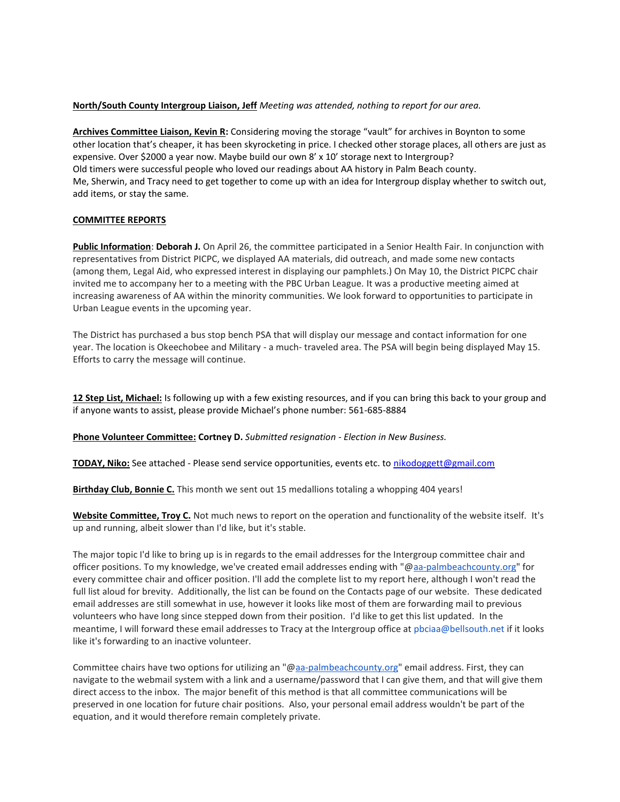## **North/South County Intergroup Liaison, Jeff** *Meeting was attended, nothing to report for our area.*

**Archives Committee Liaison, Kevin R:** Considering moving the storage "vault" for archives in Boynton to some other location that's cheaper, it has been skyrocketing in price. I checked other storage places, all others are just as expensive. Over \$2000 a year now. Maybe build our own 8' x 10' storage next to Intergroup? Old timers were successful people who loved our readings about AA history in Palm Beach county. Me, Sherwin, and Tracy need to get together to come up with an idea for Intergroup display whether to switch out, add items, or stay the same.

## **COMMITTEE REPORTS**

**Public Information**: **Deborah J.** On April 26, the committee participated in a Senior Health Fair. In conjunction with representatives from District PICPC, we displayed AA materials, did outreach, and made some new contacts (among them, Legal Aid, who expressed interest in displaying our pamphlets.) On May 10, the District PICPC chair invited me to accompany her to a meeting with the PBC Urban League. It was a productive meeting aimed at increasing awareness of AA within the minority communities. We look forward to opportunities to participate in Urban League events in the upcoming year.

The District has purchased a bus stop bench PSA that will display our message and contact information for one year. The location is Okeechobee and Military - a much- traveled area. The PSA will begin being displayed May 15. Efforts to carry the message will continue.

**12 Step List, Michael:** Is following up with a few existing resources, and if you can bring this back to your group and if anyone wants to assist, please provide Michael's phone number: 561-685-8884

**Phone Volunteer Committee: Cortney D.** *Submitted resignation - Election in New Business.*

**TODAY, Niko:** See attached - Please send service opportunities, events etc. to [nikodoggett@gmail.com](mailto:nikodoggett@gmail.com)

**Birthday Club, Bonnie C.** This month we sent out 15 medallions totaling a whopping 404 years!

**Website Committee, Troy C.** Not much news to report on the operation and functionality of the website itself. It's up and running, albeit slower than I'd like, but it's stable.

The major topic I'd like to bring up is in regards to the email addresses for the Intergroup committee chair and officer positions. To my knowledge, we've created email addresses ending with "[@aa-palmbeachcounty.org"](http://aa-palmbeachcounty.org/) for every committee chair and officer position. I'll add the complete list to my report here, although I won't read the full list aloud for brevity. Additionally, the list can be found on the Contacts page of our website. These dedicated email addresses are still somewhat in use, however it looks like most of them are forwarding mail to previous volunteers who have long since stepped down from their position. I'd like to get this list updated. In the meantime, I will forward these email addresses to Tracy at the Intergroup office at pbciaa@bellsouth.net if it looks like it's forwarding to an inactive volunteer.

Committee chairs have two options for utilizing an "[@aa-palmbeachcounty.org"](http://aa-palmbeachcounty.org/) email address. First, they can navigate to the webmail system with a link and a username/password that I can give them, and that will give them direct access to the inbox. The major benefit of this method is that all committee communications will be preserved in one location for future chair positions. Also, your personal email address wouldn't be part of the equation, and it would therefore remain completely private.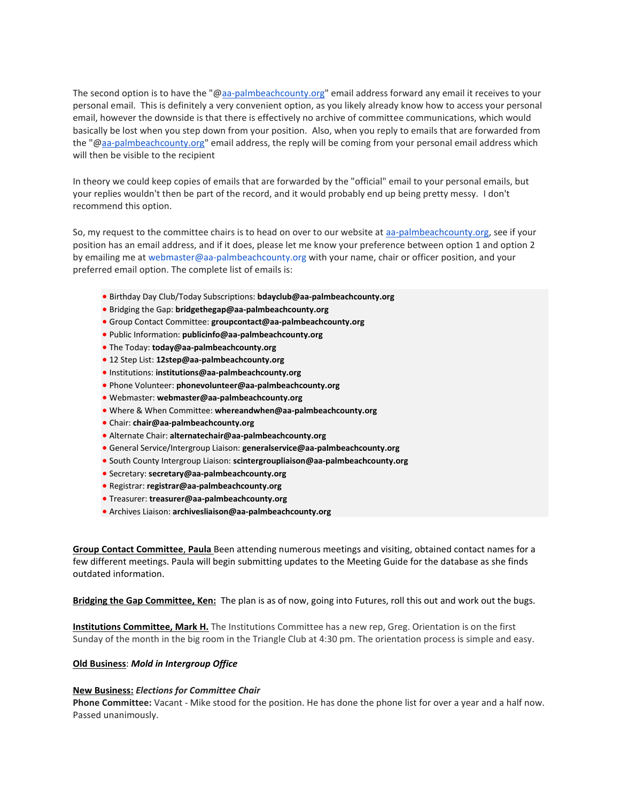The second option is to have the "[@aa-palmbeachcounty.org"](http://aa-palmbeachcounty.org/) email address forward any email it receives to your personal email. This is definitely a very convenient option, as you likely already know how to access your personal email, however the downside is that there is effectively no archive of committee communications, which would basically be lost when you step down from your position. Also, when you reply to emails that are forwarded from the "[@aa-palmbeachcounty.org"](http://aa-palmbeachcounty.org/) email address, the reply will be coming from your personal email address which will then be visible to the recipient

In theory we could keep copies of emails that are forwarded by the "official" email to your personal emails, but your replies wouldn't then be part of the record, and it would probably end up being pretty messy. I don't recommend this option.

So, my request to the committee chairs is to head on over to our website at [aa-palmbeachcounty.org,](http://aa-palmbeachcounty.org/) see if your position has an email address, and if it does, please let me know your preference between option 1 and option 2 by emailing me at webmaster@aa-palmbeachcounty.org with your name, chair or officer position, and your preferred email option. The complete list of emails is:

- Birthday Day Club/Today Subscriptions: **bdayclub@aa-palmbeachcounty.org**
- Bridging the Gap: **bridgethegap@aa-palmbeachcounty.org**
- Group Contact Committee: **groupcontact@aa-palmbeachcounty.org**
- Public Information: **publicinfo@aa-palmbeachcounty.org**
- The Today: **today@aa-palmbeachcounty.org**
- 12 Step List: **12step@aa-palmbeachcounty.org**
- Institutions: **institutions@aa-palmbeachcounty.org**
- Phone Volunteer: **phonevolunteer@aa-palmbeachcounty.org**
- Webmaster: **webmaster@aa-palmbeachcounty.org**
- Where & When Committee: **whereandwhen@aa-palmbeachcounty.org**
- Chair: **chair@aa-palmbeachcounty.org**
- Alternate Chair: **alternatechair@aa-palmbeachcounty.org**
- General Service/Intergroup Liaison: **generalservice@aa-palmbeachcounty.org**
- South County Intergroup Liaison: **scintergroupliaison@aa-palmbeachcounty.org**
- Secretary: **secretary@aa-palmbeachcounty.org**
- Registrar: **registrar@aa-palmbeachcounty.org**
- Treasurer: **treasurer@aa-palmbeachcounty.org**
- Archives Liaison: **archivesliaison@aa-palmbeachcounty.org**

**Group Contact Committee**, **Paula** Been attending numerous meetings and visiting, obtained contact names for a few different meetings. Paula will begin submitting updates to the Meeting Guide for the database as she finds outdated information.

**Bridging the Gap Committee, Ken:** The plan is as of now, going into Futures, roll this out and work out the bugs.

**Institutions Committee, Mark H.** The Institutions Committee has a new rep, Greg. Orientation is on the first Sunday of the month in the big room in the Triangle Club at 4:30 pm. The orientation process is simple and easy.

# **Old Business**: *Mold in Intergroup Office*

#### **New Business:** *Elections for Committee Chair*

**Phone Committee:** Vacant - Mike stood for the position. He has done the phone list for over a year and a half now. Passed unanimously.